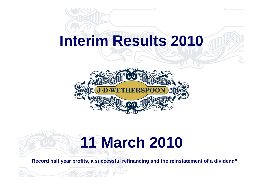## **Interim Results 2010**



# **11 March 2010**

**"Record half year profits, a successful refinancing and the reinstatement of a dividend"**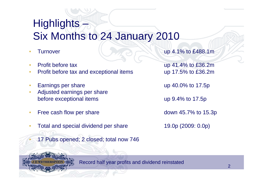## Highlights – Six Months to 24 January 2010

- 
- 
- Profit before tax and exceptional items up 17.5% to £36.2m
- Earnings per share up 40.0% to 17.5p
- Adjusted earnings per share before exceptional items up 9.4% to 17.5p
- Free cash flow per share down 45.7% to 15.3p
- Total and special dividend per share 19.0p (2009: 0.0p)
	- 17 Pubs opened; 2 closed; total now 746

**Furnover Example 1.1% to £488.1m** 

• Profit before tax up 41.4% to £36.2m



Record half year profits and dividend reinstated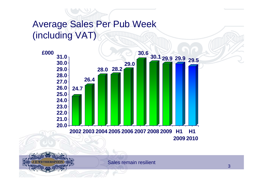### Average Sales Per Pub Week (including VAT)



Sales remain resilient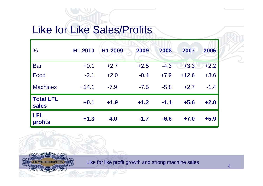## Like for Like Sales/Profits

**THERSPOO** 

| $\frac{0}{0}$             | H1 2010 | H1 2009 | 2009   | 2008   | 2007    | 2006   |
|---------------------------|---------|---------|--------|--------|---------|--------|
| <b>Bar</b>                | $+0.1$  | $+2.7$  | $+2.5$ | $-4.3$ | $+3.3$  | $+2.2$ |
| Food                      | $-2.1$  | $+2.0$  | $-0.4$ | $+7.9$ | $+12.6$ | $+3.6$ |
| <b>Machines</b>           | $+14.1$ | $-7.9$  | $-7.5$ | $-5.8$ | $+2.7$  | $-1.4$ |
| <b>Total LFL</b><br>sales | $+0.1$  | $+1.9$  | $+1.2$ | $-1.1$ | $+5.6$  | $+2.0$ |
| <b>LFL</b><br>profits     | $+1.3$  | $-4.0$  | $-1.7$ | $-6.6$ | $+7.0$  | $+5.9$ |

Like for like profit growth and strong machine sales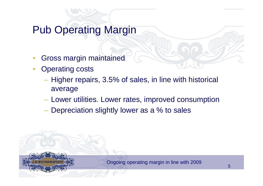## Pub Operating Margin

- Gross margin maintained
- **Operating costs** 
	- Higher repairs, 3.5% of sales, in line with historical average
	- Lower utilities. Lower rates, improved consumption
	- Depreciation slightly lower as a % to sales

Ongoing operating margin in line with 2009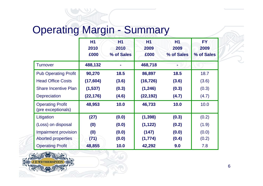## Operating Margin - Summary

|                                               | H <sub>1</sub> | <b>H1</b>  | <b>H1</b> | H1         | <b>FY</b>  |
|-----------------------------------------------|----------------|------------|-----------|------------|------------|
|                                               | 2010           | 2010       | 2009      | 2009       | 2009       |
|                                               | £000           | % of Sales | £000      | % of Sales | % of Sales |
| <b>Turnover</b>                               | 488,132        |            | 468,718   |            |            |
| <b>Pub Operating Profit</b>                   | 90,270         | 18.5       | 86,897    | 18.5       | 18.7       |
| <b>Head Office Costs</b>                      | (17, 604)      | (3.6)      | (16, 726) | (3.6)      | (3.6)      |
| <b>Share Incentive Plan</b>                   | (1, 537)       | (0.3)      | (1, 246)  | (0.3)      | (0.3)      |
| <b>Depreciation</b>                           | (22,176)       | (4.6)      | (22,192)  | (4.7)      | (4.7)      |
| <b>Operating Profit</b><br>(pre exceptionals) | 48,953         | 10.0       | 46,733    | 10.0       | 10.0       |
| Litigation                                    | (27)           | (0.0)      | (1, 398)  | (0.3)      | (0.2)      |
| (Loss) on disposal                            | (0)            | (0.0)      | (1, 122)  | (0.2)      | (1.9)      |
| Impairment provision                          | (0)            | (0.0)      | (147)     | (0.0)      | (0.0)      |
| <b>Aborted properties</b>                     | (71)           | (0.0)      | (1,774)   | (0.4)      | (0.2)      |
| <b>Operating Profit</b>                       | 48,855         | 10.0       | 42,292    | 9.0        | 7.8        |

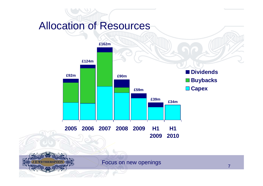### Allocation of Resources

**ETHERSPOC** 



Focus on new openings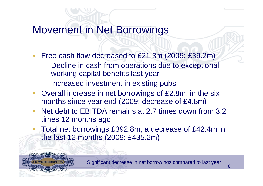### Movement in Net Borrowings

- Free cash flow decreased to £21.3m (2009: £39.2m)
	- Decline in cash from operations due to exceptional working capital benefits last year
	- Increased investment in existing pubs
- Overall increase in net borrowings of £2.8m, in the six months since year end (2009: decrease of £4.8m)
- Net debt to EBITDA remains at 2.7 times down from 3.2 times 12 months ago
- Total net borrowings £392.8m, a decrease of £42.4m in the last 12 months (2009: £435.2m)



Significant decrease in net borrowings compared to last year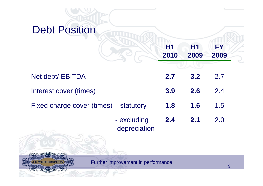

Further improvement in performance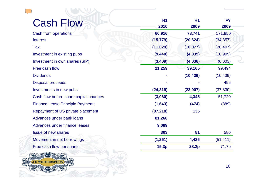| <b>Cash Flow</b>                        | H1<br>2010 | H1<br>2009 | <b>FY</b><br>2009 |
|-----------------------------------------|------------|------------|-------------------|
| Cash from operations                    | 60,916     | 78,741     | 171,850           |
| <b>Interest</b>                         | (15, 779)  | (20, 624)  | (34, 857)         |
| <b>Tax</b>                              | (11, 029)  | (10, 077)  | (20, 497)         |
| Investment in existing pubs             | (9, 440)   | (4,839)    | (10, 999)         |
| Investment in own shares (SIP)          | (3, 409)   | (4,036)    | (6,003)           |
| Free cash flow                          | 21,259     | 39,165     | 99,494            |
| <b>Dividends</b>                        |            | (10, 439)  | (10, 439)         |
| <b>Disposal proceeds</b>                |            |            | 495               |
| Investments in new pubs                 | (24, 319)  | (23, 907)  | (37, 830)         |
| Cash flow before share capital changes  | (3,060)    | 4,345      | 51,720            |
| <b>Finance Lease Principle Payments</b> | (1,643)    | (474)      | (889)             |
| Repayment of US private placement       | (87, 218)  | 135        |                   |
| Advances under bank loans               | 81,268     |            |                   |
| Advances under finance leases           | 9,089      |            |                   |
| <b>Issue of new shares</b>              | 303        | 81         | 580               |
| Movement in net borrowings              | (1, 261)   | 4,426      | (51, 411)         |
| Free cash flow per share                | 15.3p      | 28.2p      | 71.7p             |
|                                         |            |            |                   |

 $\sqrt{\mathbb{1}}$ 

**THERSPOC** 



Z

 $\overline{\phantom{0}}$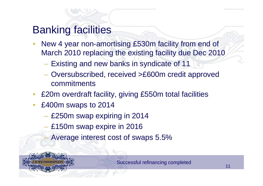## Banking facilities

- New 4 year non-amortising £530m facility from end of March 2010 replacing the existing facility due Dec 2010
	- Existing and new banks in syndicate of 11
	- Oversubscribed, received >£600m credit approved commitments
- £20m overdraft facility, giving £550m total facilities
- £400m swaps to 2014
	- £250m swap expiring in 2014
	- £150m swap expire in 2016
		- Average interest cost of swaps 5.5%



Successful refinancing completed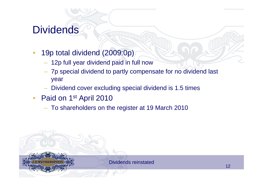## **Dividends**

- 19p total dividend (2009:0p)
	- 12p full year dividend paid in full now
	- 7p special dividend to partly compensate for no dividend last year
	- Dividend cover excluding special dividend is 1.5 times
- Paid on 1<sup>st</sup> April 2010
	- To shareholders on the register at 19 March 2010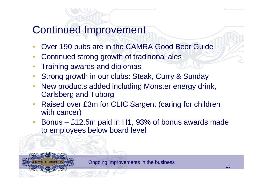## Continued Improvement

- Over 190 pubs are in the CAMRA Good Beer Guide
- Continued strong growth of traditional ales
- Training awards and diplomas
- Strong growth in our clubs: Steak, Curry & Sunday
- New products added including Monster energy drink, Carlsberg and Tuborg
- Raised over £3m for CLIC Sargent (caring for children with cancer)
- Bonus £12.5m paid in H1, 93% of bonus awards made to employees below board level



Ongoing improvements in the business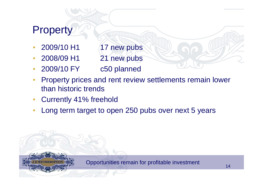## **Property**

- 2009/10 H1 17 new pubs
- 2008/09 H1 21 new pubs
- 2009/10 FY c50 planned
- Property prices and rent review settlements remain lower than historic trends
- Currently 41% freehold
- Long term target to open 250 pubs over next 5 years

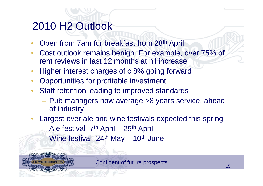## 2010 H2 Outlook

- Open from 7am for breakfast from 28th April
- Cost outlook remains benign. For example, over 75% of rent reviews in last 12 months at nil increase
- Higher interest charges of c 8% going forward
- Opportunities for profitable investment
- Staff retention leading to improved standards
	- Pub managers now average >8 years service, ahead of industry
- Largest ever ale and wine festivals expected this spring Ale festival  $7<sup>th</sup>$  April – 25<sup>th</sup> April Wine festival  $24<sup>th</sup>$  May – 10<sup>th</sup> June



Confident of future prospects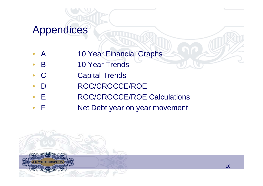### Appendices

- A 10 Year Financial Graphs
- **B** 10 Year Trends
- C Capital Trends
- D ROC/CROCCE/ROE
- E ROC/CROCCE/ROE Calculations
- F **Net Debt year on year movement**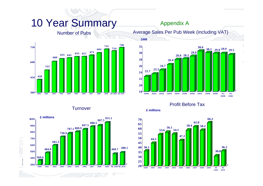### 10 Year Summary

#### Appendix A

#### Number of Pubs



Average Sales Per Pub Week (including VAT)



#### **Turnover**



Profit Before Tax



**£000**

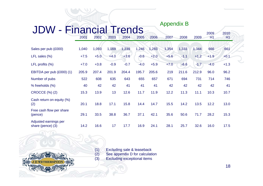|                                            |        |        |        |        |        |        | <b>Appendix B</b> |        |        |            |            |
|--------------------------------------------|--------|--------|--------|--------|--------|--------|-------------------|--------|--------|------------|------------|
| <b>JDW - Financial Trends</b>              | 2001   | 2002   | 2003   | 2004   | 2005   | 2006   | 2007              | 2008   | 2009   | 2009<br>H1 | 2010<br>H1 |
| Sales per pub (£000)                       | 1,040  | 1,093  | 1,169  | 1,239  | 1,246  | 1,283  | 1,354             | 1,333  | 1,344  | 666        | 661        |
| LFL sales $(\%)$                           | $+7.5$ | $+5.0$ | $+4.0$ | $+3.6$ | $-0.6$ | $+2.0$ | $+5.6$            | $-1.1$ | $+1.2$ | $+1.9$     | $+0.1$     |
| LFL profits (%)                            | $+7.0$ | $+3.8$ | $-0.9$ | $-0.7$ | $-4.0$ | $+5.9$ | $+7.0$            | $-6.6$ | $-1.7$ | $-4.0$     | $+1.3$     |
| EBITDA per pub (£000) (1)                  | 205.9  | 207.4  | 201.9  | 204.4  | 195.7  | 205.6  | 219               | 211.6  | 212.9  | 96.0       | 96.2       |
| Number of pubs                             | 522    | 608    | 635    | 643    | 655    | 657    | 671               | 694    | 731    | 714        | 746        |
| % freeholds (%)                            | 40     | 42     | 42     | 41     | 41     | 41     | 42                | 42     | 42     | 42         | 41         |
| <b>CROCCE (%) (2)</b>                      | 15.3   | 13.9   | 13     | 12.6   | 11.7   | 11.9   | 12.2              | 11.3   | 11.1   | 10.3       | 10.7       |
| Cash return on equity (%)<br>(2)           | 20.1   | 18.8   | 17.1   | 15.8   | 14.4   | 14.7   | 15.5              | 14.2   | 13.5   | 12.2       | 13.0       |
| Free cash flow per share<br>(pence)        | 29.1   | 33.5   | 38.8   | 36.7   | 37.1   | 42.1   | 35.6              | 50.6   | 71.7   | 28.2       | 15.3       |
| Adjusted earnings per<br>share (pence) (3) | 14.2   | 16.6   | 17     | 17.7   | 16.9   | 24.1   | 28.1              | 25.7   | 32.6   | 16.0       | 17.5       |

(1) Excluding sale & leaseback (2) See appendix D for calculation (3) Excluding exceptional items



18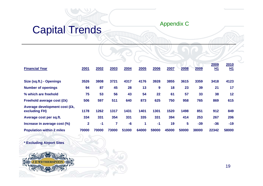# Capital Trends Appendix C

| <b>Financial Year</b>                          | 2001         | 2002  | 2003           | 2004  | 2005  | 2006  | 2007  | 2008  | 2009  | 2009<br><u>H1</u> | 2010<br><u>H1</u> |
|------------------------------------------------|--------------|-------|----------------|-------|-------|-------|-------|-------|-------|-------------------|-------------------|
| Size (sq.ft.) - Openings                       | 3526         | 3808  | 3721           | 4317  | 4176  | 3928  | 3855  | 3615  | 3359  | 3418              | 4123              |
| <b>Number of openings</b>                      | 94           | 87    | 45             | 28    | 13    | 9     | 18    | 23    | 39    | 21                | 17                |
| % which are freehold                           | 75           | 53    | 56             | 43    | 54    | 22    | 61    | 57    | 33    | 38                | 12                |
| Freehold average cost (£k)                     | 506          | 597   | 511            | 640   | 873   | 625   | 750   | 958   | 765   | 869               | 615               |
| Average development cost (£k,<br>excluding FH) | 1178         | 1262  | 1317           | 1431  | 1401  | 1301  | 1520  | 1498  | 851   | 912               | 849               |
| Average cost per sq.ft.                        | 334          | 331   | 354            | 331   | 335   | 331   | 394   | 414   | 253   | 267               | 206               |
| Increase in average cost (%)                   | $\mathbf{2}$ | $-1$  | $\overline{7}$ | $-6$  | 1     | -1    | 19    | 5     | $-39$ | $-36$             | $-19$             |
| <b>Population within 2 miles</b>               | 70000        | 70000 | 73000          | 51000 | 64000 | 59000 | 45000 | 50000 | 38000 | 22342             | 58000             |
|                                                |              |       |                |       |       |       |       |       |       |                   |                   |

**\* Excluding Airport Sites**

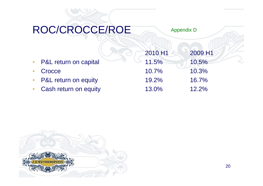## ROC/CROCCE/ROE

Appendix D

|                         | 2010 H1  | 2009 H1 |
|-------------------------|----------|---------|
| • P&L return on capital | 11.5%    | 10.5%   |
| • Crocce                | $10.7\%$ | 10.3%   |
| • P&L return on equity  | 19.2%    | 16.7%   |
| • Cash return on equity | 13.0%    | 12.2%   |

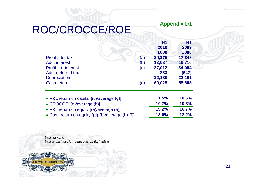## ROC/CROCCE/ROE

|                            |           | H1     | Η1     |
|----------------------------|-----------|--------|--------|
|                            |           | 2010   | 2009   |
|                            |           | £000   | £000   |
| Profit after tax           | (a)       | 24,375 | 17,348 |
| Add: interest              | (b)       | 12,637 | 16,716 |
| <b>Profit pre-interest</b> | $\left( $ | 37,012 | 34,064 |
| Add: deferred tax          |           | 833    | (647)  |
| <b>Depreciation</b>        |           | 22,180 | 22,191 |
| <b>Cash return</b>         | (d)       | 60,025 | 55,608 |

Appendix D1

| $\bullet$ P&L return on capital $[(c)/average(q)]$    | <b>11.5%</b> | 10.5% |
|-------------------------------------------------------|--------------|-------|
| $\bullet$ CROCCE $[(d)/average(h)]$                   | 10.7%        | 10.3% |
| $\bullet$ P&L return on equity $[(a)/a$ verage $(e)]$ | 19.2%        | 16.7% |
| • Cash return on equity $[(d)-(b)/average (h)-(f)]$   | <b>13.0%</b> | 12.2% |
|                                                       |              |       |

*Internal notes: Interest includes fair value loss on derivatives* 

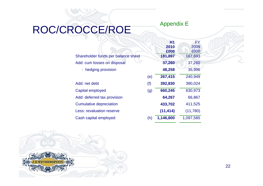#### Appendix E

## ROC/CROCCE/ROE

|                                     |     | <b>H1</b><br>2010 | FY<br>2009      |
|-------------------------------------|-----|-------------------|-----------------|
| Shareholder funds per balance sheet |     | £000<br>181,897   | £000<br>167,693 |
| Add: cum losses on disposal         |     | 37,260            | 37,260          |
| : hedging provision                 |     | 48,258            | 35,996          |
|                                     | (e) | 267,415           | 240,949         |
| Add: net debt                       | (f) | 392,830           | 390,024         |
| Capital employed                    | (g) | 660,245           | 630,973         |
| Add: deferred tax provision         |     | 64,267            | 66,867          |
| <b>Cumulative depreciation</b>      |     | 433,702           | 411,525         |
| Less: revaluation reserve           |     | (11, 414)         | (11,780)        |
| Cash capital employed               | (h) | 1,146,800         | 1,097,585       |